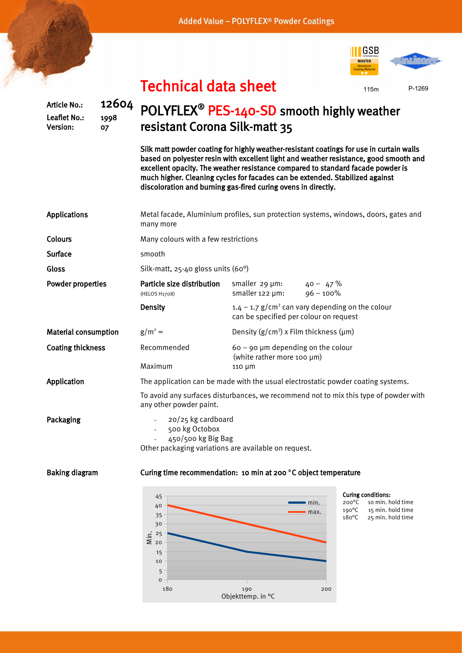Added Value - POLYFLEX<sup>®</sup> Powder Coatings

Article No.: 12604 Leaflet No.: 1998 Version: 07



115m P-1269

## Technical data sheet

## POLYFLEX<sup>®</sup> PES-140-SD smooth highly weather resistant Corona Silk-matt 35

Silk matt powder coating for highly weather-resistant coatings for use in curtain walls based on polyester resin with excellent light and weather resistance, good smooth and excellent opacity. The weather resistance compared to standard facade powder is much higher. Cleaning cycles for facades can be extended. Stabilized against discoloration and burning gas-fired curing ovens in directly.

| <b>Applications</b>         | Metal facade, Aluminium profiles, sun protection systems, windows, doors, gates and<br>many more                                                 |                                                                                                          |                                                                                                                                                         |  |  |  |  |  |  |  |
|-----------------------------|--------------------------------------------------------------------------------------------------------------------------------------------------|----------------------------------------------------------------------------------------------------------|---------------------------------------------------------------------------------------------------------------------------------------------------------|--|--|--|--|--|--|--|
| Colours                     | Many colours with a few restrictions                                                                                                             |                                                                                                          |                                                                                                                                                         |  |  |  |  |  |  |  |
| <b>Surface</b>              | smooth                                                                                                                                           |                                                                                                          |                                                                                                                                                         |  |  |  |  |  |  |  |
| Gloss                       | Silk-matt, 25-40 gloss units (60°)                                                                                                               |                                                                                                          |                                                                                                                                                         |  |  |  |  |  |  |  |
| <b>Powder properties</b>    | Particle size distribution<br>(HELOS H1708)                                                                                                      | smaller 29 µm:<br>smaller 122 µm:                                                                        | $40 - 47 \%$<br>$96 - 100\%$                                                                                                                            |  |  |  |  |  |  |  |
|                             | <b>Density</b>                                                                                                                                   | $1.4 - 1.7$ g/cm <sup>3</sup> can vary depending on the colour<br>can be specified per colour on request |                                                                                                                                                         |  |  |  |  |  |  |  |
| <b>Material consumption</b> | $g/m^2 =$                                                                                                                                        | Density $(g/cm^3)$ x Film thickness ( $\mu$ m)                                                           |                                                                                                                                                         |  |  |  |  |  |  |  |
| <b>Coating thickness</b>    | Recommended                                                                                                                                      | $60 - 90$ µm depending on the colour<br>(white rather more 100 µm)                                       |                                                                                                                                                         |  |  |  |  |  |  |  |
|                             | Maximum                                                                                                                                          | 110 µm                                                                                                   |                                                                                                                                                         |  |  |  |  |  |  |  |
| <b>Application</b>          | The application can be made with the usual electrostatic powder coating systems.                                                                 |                                                                                                          |                                                                                                                                                         |  |  |  |  |  |  |  |
|                             | To avoid any surfaces disturbances, we recommend not to mix this type of powder with<br>any other powder paint.                                  |                                                                                                          |                                                                                                                                                         |  |  |  |  |  |  |  |
| Packaging                   | 20/25 kg cardboard<br>500 kg Octobox<br>$\mathcal{L}^{\text{max}}$<br>450/500 kg Big Bag<br>Other packaging variations are available on request. |                                                                                                          |                                                                                                                                                         |  |  |  |  |  |  |  |
| <b>Baking diagram</b>       | Curing time recommendation: 10 min at 200 °C object temperature                                                                                  |                                                                                                          |                                                                                                                                                         |  |  |  |  |  |  |  |
|                             | 45<br>40<br>$\Omega$                                                                                                                             |                                                                                                          | <b>Curing conditions:</b><br>10 min. hold time<br>$200^{\circ}$ C<br>$\blacksquare$ min.<br>$190^{\circ}$ C<br>15 min. hold time<br>$\blacksquare$ max. |  |  |  |  |  |  |  |